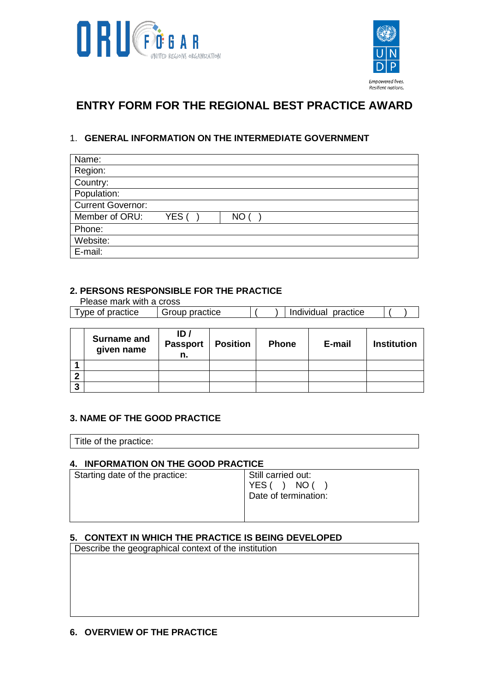



# **ENTRY FORM FOR THE REGIONAL BEST PRACTICE AWARD**

## 1. **GENERAL INFORMATION ON THE INTERMEDIATE GOVERNMENT**

| Name:                    |       |     |
|--------------------------|-------|-----|
| Region:                  |       |     |
| Country:                 |       |     |
| Population:              |       |     |
| <b>Current Governor:</b> |       |     |
| Member of ORU:           | YES ( | NO. |
| Phone:                   |       |     |
| Website:                 |       |     |
| E-mail:                  |       |     |

#### **2. PERSONS RESPONSIBLE FOR THE PRACTICE**

Please mark with a cross

| I vpe of practice | Group practice | practice<br>Individual |  |  |
|-------------------|----------------|------------------------|--|--|
|                   |                |                        |  |  |

|        | <b>Surname and</b><br>given name | ID /<br>Passport<br>n. | <b>Position</b> | <b>Phone</b> | E-mail | <b>Institution</b> |
|--------|----------------------------------|------------------------|-----------------|--------------|--------|--------------------|
|        |                                  |                        |                 |              |        |                    |
| ົ      |                                  |                        |                 |              |        |                    |
| ≏<br>J |                                  |                        |                 |              |        |                    |

#### **3. NAME OF THE GOOD PRACTICE**

Title of the practice:

#### **4. INFORMATION ON THE GOOD PRACTICE**

| Starting date of the practice: | Still carried out:<br>NO (<br>YES ( )<br>Date of termination: |
|--------------------------------|---------------------------------------------------------------|
|                                |                                                               |

### **5. CONTEXT IN WHICH THE PRACTICE IS BEING DEVELOPED**

Describe the geographical context of the institution

#### **6. OVERVIEW OF THE PRACTICE**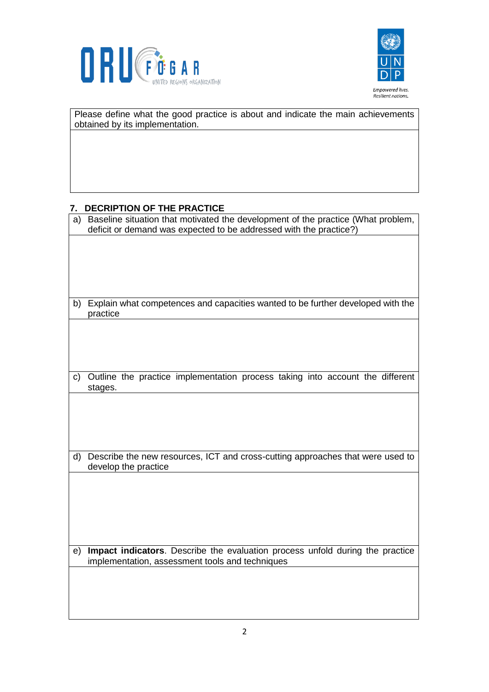



Please define what the good practice is about and indicate the main achievements obtained by its implementation. **7. DECRIPTION OF THE PRACTICE** a) Baseline situation that motivated the development of the practice (What problem, deficit or demand was expected to be addressed with the practice?)

b) Explain what competences and capacities wanted to be further developed with the practice

c) Outline the practice implementation process taking into account the different stages.

d) Describe the new resources, ICT and cross-cutting approaches that were used to develop the practice

e) **Impact indicators**. Describe the evaluation process unfold during the practice implementation, assessment tools and techniques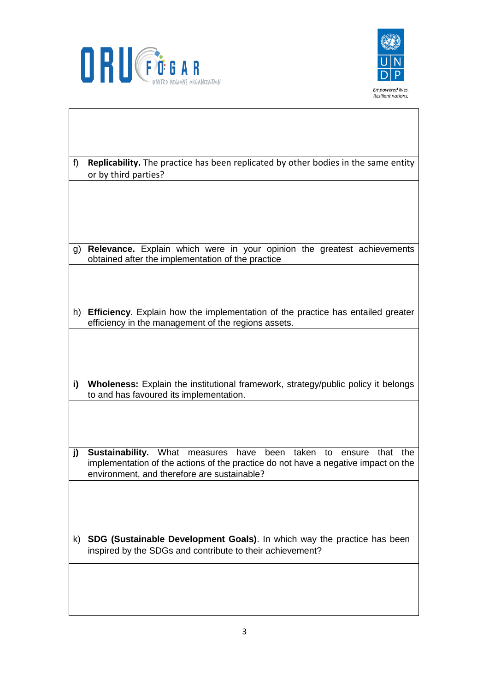



| f) | <b>Replicability.</b> The practice has been replicated by other bodies in the same entity<br>or by third parties?                                                                                                    |
|----|----------------------------------------------------------------------------------------------------------------------------------------------------------------------------------------------------------------------|
|    |                                                                                                                                                                                                                      |
|    |                                                                                                                                                                                                                      |
| g) | Relevance. Explain which were in your opinion the greatest achievements<br>obtained after the implementation of the practice                                                                                         |
|    |                                                                                                                                                                                                                      |
|    | h) Efficiency. Explain how the implementation of the practice has entailed greater<br>efficiency in the management of the regions assets.                                                                            |
|    |                                                                                                                                                                                                                      |
|    |                                                                                                                                                                                                                      |
| i) | Wholeness: Explain the institutional framework, strategy/public policy it belongs                                                                                                                                    |
|    | to and has favoured its implementation.                                                                                                                                                                              |
|    |                                                                                                                                                                                                                      |
| j) | Sustainability. What measures have<br>been<br>taken to<br>that<br>the<br>ensure<br>implementation of the actions of the practice do not have a negative impact on the<br>environment, and therefore are sustainable? |
|    |                                                                                                                                                                                                                      |
|    |                                                                                                                                                                                                                      |
| k) | SDG (Sustainable Development Goals). In which way the practice has been<br>inspired by the SDGs and contribute to their achievement?                                                                                 |
|    |                                                                                                                                                                                                                      |